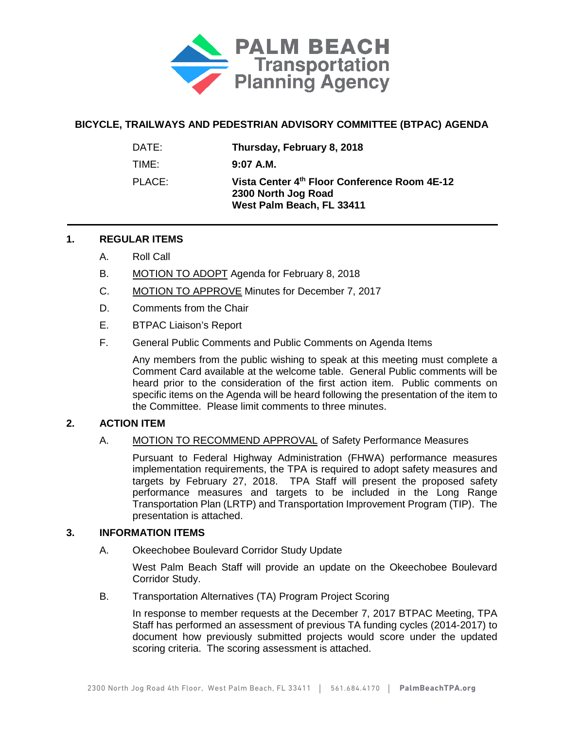

# **BICYCLE, TRAILWAYS AND PEDESTRIAN ADVISORY COMMITTEE (BTPAC) AGENDA**

| DATE:  | Thursday, February 8, 2018                                                                       |
|--------|--------------------------------------------------------------------------------------------------|
| TIME:  | $9:07$ A.M.                                                                                      |
| PLACE: | Vista Center 4th Floor Conference Room 4E-12<br>2300 North Jog Road<br>West Palm Beach, FL 33411 |

## **1. REGULAR ITEMS**

- A. Roll Call
- B. MOTION TO ADOPT Agenda for February 8, 2018
- C. MOTION TO APPROVE Minutes for December 7, 2017
- D. Comments from the Chair
- E. BTPAC Liaison's Report
- F. General Public Comments and Public Comments on Agenda Items

Any members from the public wishing to speak at this meeting must complete a Comment Card available at the welcome table. General Public comments will be heard prior to the consideration of the first action item. Public comments on specific items on the Agenda will be heard following the presentation of the item to the Committee. Please limit comments to three minutes.

# **2. ACTION ITEM**

A. MOTION TO RECOMMEND APPROVAL of Safety Performance Measures

Pursuant to Federal Highway Administration (FHWA) performance measures implementation requirements, the TPA is required to adopt safety measures and targets by February 27, 2018. TPA Staff will present the proposed safety performance measures and targets to be included in the Long Range Transportation Plan (LRTP) and Transportation Improvement Program (TIP). The presentation is attached.

## **3. INFORMATION ITEMS**

A. Okeechobee Boulevard Corridor Study Update

West Palm Beach Staff will provide an update on the Okeechobee Boulevard Corridor Study.

B. Transportation Alternatives (TA) Program Project Scoring

In response to member requests at the December 7, 2017 BTPAC Meeting, TPA Staff has performed an assessment of previous TA funding cycles (2014-2017) to document how previously submitted projects would score under the updated scoring criteria. The scoring assessment is attached.